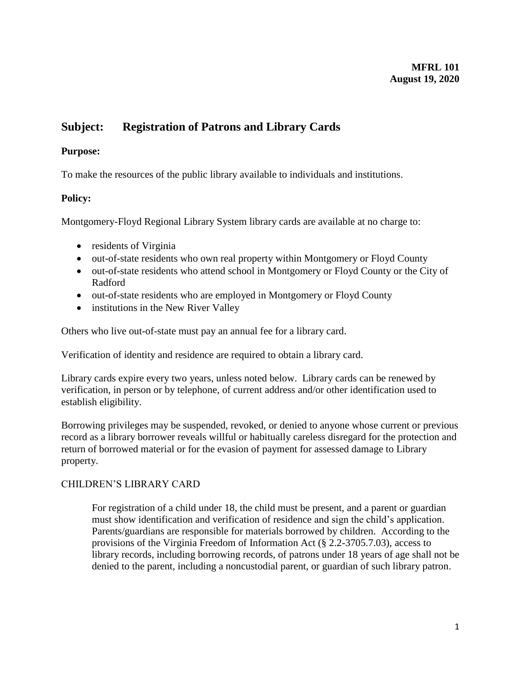### **MFRL 101 August 19, 2020**

# **Subject: Registration of Patrons and Library Cards**

## **Purpose:**

To make the resources of the public library available to individuals and institutions.

## **Policy:**

Montgomery-Floyd Regional Library System library cards are available at no charge to:

- residents of Virginia
- out-of-state residents who own real property within Montgomery or Floyd County
- out-of-state residents who attend school in Montgomery or Floyd County or the City of Radford
- out-of-state residents who are employed in Montgomery or Floyd County
- institutions in the New River Valley

Others who live out-of-state must pay an annual fee for a library card.

Verification of identity and residence are required to obtain a library card.

Library cards expire every two years, unless noted below. Library cards can be renewed by verification, in person or by telephone, of current address and/or other identification used to establish eligibility.

Borrowing privileges may be suspended, revoked, or denied to anyone whose current or previous record as a library borrower reveals willful or habitually careless disregard for the protection and return of borrowed material or for the evasion of payment for assessed damage to Library property.

## CHILDREN'S LIBRARY CARD

For registration of a child under 18, the child must be present, and a parent or guardian must show identification and verification of residence and sign the child's application. Parents/guardians are responsible for materials borrowed by children. According to the provisions of the Virginia Freedom of Information Act (§ 2.2-3705.7.03), access to library records, including borrowing records, of patrons under 18 years of age shall not be denied to the parent, including a noncustodial parent, or guardian of such library patron.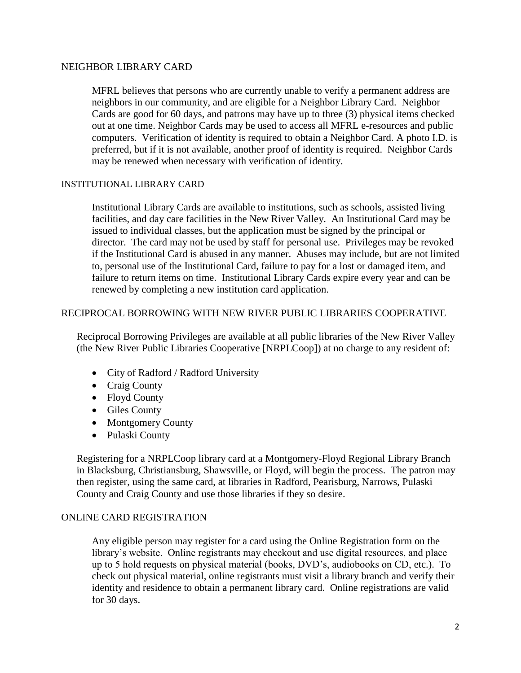#### NEIGHBOR LIBRARY CARD

MFRL believes that persons who are currently unable to verify a permanent address are neighbors in our community, and are eligible for a Neighbor Library Card. Neighbor Cards are good for 60 days, and patrons may have up to three (3) physical items checked out at one time. Neighbor Cards may be used to access all MFRL e-resources and public computers. Verification of identity is required to obtain a Neighbor Card. A photo I.D. is preferred, but if it is not available, another proof of identity is required. Neighbor Cards may be renewed when necessary with verification of identity.

#### INSTITUTIONAL LIBRARY CARD

Institutional Library Cards are available to institutions, such as schools, assisted living facilities, and day care facilities in the New River Valley. An Institutional Card may be issued to individual classes, but the application must be signed by the principal or director. The card may not be used by staff for personal use. Privileges may be revoked if the Institutional Card is abused in any manner. Abuses may include, but are not limited to, personal use of the Institutional Card, failure to pay for a lost or damaged item, and failure to return items on time. Institutional Library Cards expire every year and can be renewed by completing a new institution card application.

#### RECIPROCAL BORROWING WITH NEW RIVER PUBLIC LIBRARIES COOPERATIVE

Reciprocal Borrowing Privileges are available at all public libraries of the New River Valley (the New River Public Libraries Cooperative [NRPLCoop]) at no charge to any resident of:

- City of Radford / Radford University
- Craig County
- Floyd County
- Giles County
- Montgomery County
- Pulaski County

Registering for a NRPLCoop library card at a Montgomery-Floyd Regional Library Branch in Blacksburg, Christiansburg, Shawsville, or Floyd, will begin the process. The patron may then register, using the same card, at libraries in Radford, Pearisburg, Narrows, Pulaski County and Craig County and use those libraries if they so desire.

#### ONLINE CARD REGISTRATION

Any eligible person may register for a card using the Online Registration form on the library's website. Online registrants may checkout and use digital resources, and place up to 5 hold requests on physical material (books, DVD's, audiobooks on CD, etc.). To check out physical material, online registrants must visit a library branch and verify their identity and residence to obtain a permanent library card. Online registrations are valid for 30 days.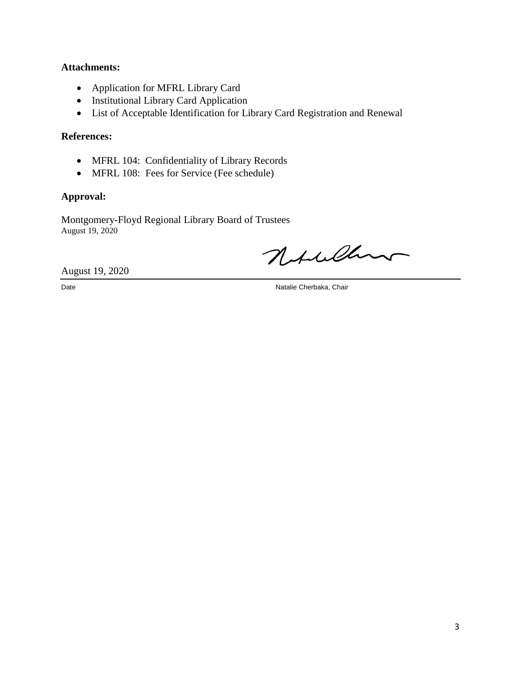### **Attachments:**

- Application for MFRL Library Card
- Institutional Library Card Application
- List of Acceptable Identification for Library Card Registration and Renewal

## **References:**

- MFRL 104: Confidentiality of Library Records
- MFRL 108: Fees for Service (Fee schedule)

## **Approval:**

Montgomery-Floyd Regional Library Board of Trustees August 19, 2020

Notaller

August 19, 2020

Date Natalie Cherbaka, Chair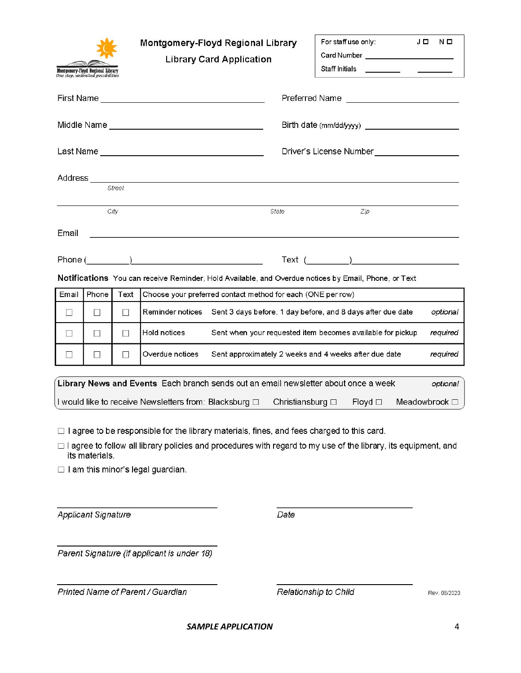| Montgomery-Floyd Regional Library<br>One stop, unlimited possibilities                                                                                                                                                                                                             |       |        | Montgomery-Floyd Regional Library<br><b>Library Card Application</b>                                 |                                                             |       | For staff use only:<br>Card Number ________________________ | JO  |  | ΝΩ |              |
|------------------------------------------------------------------------------------------------------------------------------------------------------------------------------------------------------------------------------------------------------------------------------------|-------|--------|------------------------------------------------------------------------------------------------------|-------------------------------------------------------------|-------|-------------------------------------------------------------|-----|--|----|--------------|
|                                                                                                                                                                                                                                                                                    |       |        |                                                                                                      |                                                             |       |                                                             |     |  |    |              |
|                                                                                                                                                                                                                                                                                    |       |        |                                                                                                      |                                                             |       |                                                             |     |  |    |              |
|                                                                                                                                                                                                                                                                                    |       |        |                                                                                                      |                                                             |       | Driver's License Number <b>Number Exercise 19</b>           |     |  |    |              |
| Street                                                                                                                                                                                                                                                                             |       |        |                                                                                                      |                                                             |       |                                                             |     |  |    |              |
|                                                                                                                                                                                                                                                                                    |       | City   |                                                                                                      |                                                             | State |                                                             | Zip |  |    |              |
| Email                                                                                                                                                                                                                                                                              |       |        |                                                                                                      |                                                             |       |                                                             |     |  |    |              |
| Phone (                                                                                                                                                                                                                                                                            |       |        |                                                                                                      |                                                             |       | Text( )                                                     |     |  |    |              |
|                                                                                                                                                                                                                                                                                    |       |        | Notifications You can receive Reminder, Hold Available, and Overdue notices by Email, Phone, or Text |                                                             |       |                                                             |     |  |    |              |
| Email                                                                                                                                                                                                                                                                              | Phone | Text   | Choose your preferred contact method for each (ONE per row)                                          |                                                             |       |                                                             |     |  |    |              |
| □                                                                                                                                                                                                                                                                                  | Ш     | $\Box$ | Reminder notices                                                                                     | Sent 3 days before, 1 day before, and 8 days after due date |       |                                                             |     |  |    | optional     |
| П                                                                                                                                                                                                                                                                                  | □     | П      | Hold notices                                                                                         | Sent when your requested item becomes available for pickup  |       |                                                             |     |  |    | required     |
| $\Box$                                                                                                                                                                                                                                                                             | □     | H      | Overdue notices                                                                                      | Sent approximately 2 weeks and 4 weeks after due date       |       |                                                             |     |  |    | required     |
| Library News and Events Each branch sends out an email newsletter about once a week<br>optional                                                                                                                                                                                    |       |        |                                                                                                      |                                                             |       |                                                             |     |  |    |              |
| I would like to receive Newsletters from: Blacksburg □<br>Floyd $\square$<br>Meadowbrook $\Box$<br>Christiansburg □                                                                                                                                                                |       |        |                                                                                                      |                                                             |       |                                                             |     |  |    |              |
| $\Box$ I agree to be responsible for the library materials, fines, and fees charged to this card.<br>□ I agree to follow all library policies and procedures with regard to my use of the library, its equipment, and<br>its materials<br>$\Box$ I am this minor's legal guardian. |       |        |                                                                                                      |                                                             |       |                                                             |     |  |    |              |
| <b>Applicant Signature</b>                                                                                                                                                                                                                                                         |       |        |                                                                                                      |                                                             | Date  |                                                             |     |  |    |              |
| Parent Signature (if applicant is under 18)                                                                                                                                                                                                                                        |       |        |                                                                                                      |                                                             |       |                                                             |     |  |    |              |
|                                                                                                                                                                                                                                                                                    |       |        | Printed Name of Parent / Guardian                                                                    |                                                             |       | Relationship to Child                                       |     |  |    | Rev. 08/2020 |

*SAMPLE APPLICATION* 4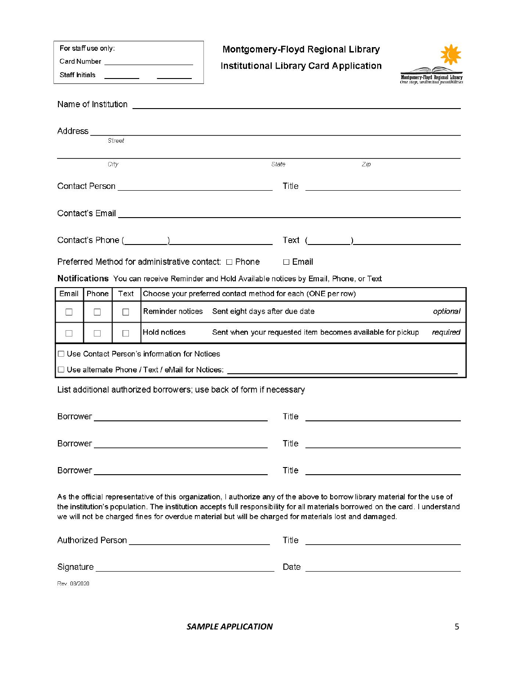| For staff use only:<br>Card Number _________________________<br>Staff Initials _________                                                                                                                                                                                                                                                                               |          |        |                                                | Montgomery-Floyd Regional Library<br>Institutional Library Card Application                |       |          |  |  | Montgomery-Floyd Regional Library<br>One stop, unlimited possibilities |          |
|------------------------------------------------------------------------------------------------------------------------------------------------------------------------------------------------------------------------------------------------------------------------------------------------------------------------------------------------------------------------|----------|--------|------------------------------------------------|--------------------------------------------------------------------------------------------|-------|----------|--|--|------------------------------------------------------------------------|----------|
|                                                                                                                                                                                                                                                                                                                                                                        |          |        |                                                |                                                                                            |       |          |  |  |                                                                        |          |
| Address ___<br><u> 1980 - Andrea Station Barbara, actor a contrador de la contrador de la contrador de la contrador de la contra</u><br>Street                                                                                                                                                                                                                         |          |        |                                                |                                                                                            |       |          |  |  |                                                                        |          |
| $Z$ <i>ip</i><br>City<br>State                                                                                                                                                                                                                                                                                                                                         |          |        |                                                |                                                                                            |       |          |  |  |                                                                        |          |
|                                                                                                                                                                                                                                                                                                                                                                        |          |        |                                                |                                                                                            |       |          |  |  |                                                                        |          |
|                                                                                                                                                                                                                                                                                                                                                                        |          |        |                                                |                                                                                            |       |          |  |  |                                                                        |          |
|                                                                                                                                                                                                                                                                                                                                                                        |          |        |                                                |                                                                                            |       |          |  |  |                                                                        |          |
|                                                                                                                                                                                                                                                                                                                                                                        |          |        |                                                |                                                                                            |       |          |  |  |                                                                        |          |
|                                                                                                                                                                                                                                                                                                                                                                        |          |        |                                                | Preferred Method for administrative contact: □ Phone □ Email                               |       |          |  |  |                                                                        |          |
|                                                                                                                                                                                                                                                                                                                                                                        |          |        |                                                | Notifications You can receive Reminder and Hold Available notices by Email, Phone, or Text |       |          |  |  |                                                                        |          |
| Email                                                                                                                                                                                                                                                                                                                                                                  | Phone    | Text   |                                                | Choose your preferred contact method for each (ONE per row)                                |       |          |  |  |                                                                        |          |
| $\perp$                                                                                                                                                                                                                                                                                                                                                                | $\Box$   | $\Box$ |                                                | Reminder notices Sent eight days after due date                                            |       |          |  |  |                                                                        | optional |
| Hold notices<br>Sent when your requested item becomes available for pickup<br>П<br>$\Box$<br>N                                                                                                                                                                                                                                                                         |          |        |                                                |                                                                                            |       | required |  |  |                                                                        |          |
|                                                                                                                                                                                                                                                                                                                                                                        |          |        | □ Use Contact Person's information for Notices |                                                                                            |       |          |  |  |                                                                        |          |
|                                                                                                                                                                                                                                                                                                                                                                        |          |        |                                                |                                                                                            |       |          |  |  |                                                                        |          |
| List additional authorized borrowers; use back of form if necessary                                                                                                                                                                                                                                                                                                    |          |        |                                                |                                                                                            |       |          |  |  |                                                                        |          |
|                                                                                                                                                                                                                                                                                                                                                                        | Borrower |        |                                                |                                                                                            | Title |          |  |  |                                                                        |          |
|                                                                                                                                                                                                                                                                                                                                                                        |          |        |                                                |                                                                                            |       |          |  |  |                                                                        |          |
|                                                                                                                                                                                                                                                                                                                                                                        |          |        |                                                |                                                                                            |       |          |  |  |                                                                        |          |
|                                                                                                                                                                                                                                                                                                                                                                        |          |        |                                                |                                                                                            |       |          |  |  |                                                                        |          |
| As the official representative of this organization, I authorize any of the above to borrow library material for the use of<br>the institution's population. The institution accepts full responsibility for all materials borrowed on the card. I understand<br>we will not be charged fines for overdue material but will be charged for materials lost and damaged. |          |        |                                                |                                                                                            |       |          |  |  |                                                                        |          |
|                                                                                                                                                                                                                                                                                                                                                                        |          |        |                                                |                                                                                            |       |          |  |  |                                                                        |          |
|                                                                                                                                                                                                                                                                                                                                                                        |          |        |                                                |                                                                                            |       |          |  |  |                                                                        |          |
| Rev. 08/2020                                                                                                                                                                                                                                                                                                                                                           |          |        |                                                |                                                                                            |       |          |  |  |                                                                        |          |

*SAMPLE APPLICATION* 5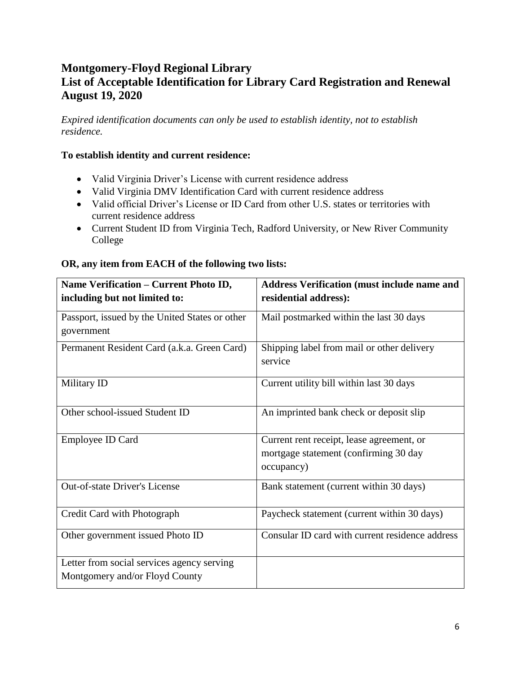# **Montgomery-Floyd Regional Library List of Acceptable Identification for Library Card Registration and Renewal August 19, 2020**

*Expired identification documents can only be used to establish identity, not to establish residence.*

## **To establish identity and current residence:**

- Valid Virginia Driver's License with current residence address
- Valid Virginia DMV Identification Card with current residence address
- Valid official Driver's License or ID Card from other U.S. states or territories with current residence address
- Current Student ID from Virginia Tech, Radford University, or New River Community College

| Name Verification - Current Photo ID,                                        | <b>Address Verification (must include name and</b>                                               |  |  |  |  |  |
|------------------------------------------------------------------------------|--------------------------------------------------------------------------------------------------|--|--|--|--|--|
| including but not limited to:                                                | residential address):                                                                            |  |  |  |  |  |
| Passport, issued by the United States or other<br>government                 | Mail postmarked within the last 30 days                                                          |  |  |  |  |  |
| Permanent Resident Card (a.k.a. Green Card)                                  | Shipping label from mail or other delivery<br>service                                            |  |  |  |  |  |
| Military ID                                                                  | Current utility bill within last 30 days                                                         |  |  |  |  |  |
| Other school-issued Student ID                                               | An imprinted bank check or deposit slip                                                          |  |  |  |  |  |
| Employee ID Card                                                             | Current rent receipt, lease agreement, or<br>mortgage statement (confirming 30 day<br>occupancy) |  |  |  |  |  |
| <b>Out-of-state Driver's License</b>                                         | Bank statement (current within 30 days)                                                          |  |  |  |  |  |
| Credit Card with Photograph                                                  | Paycheck statement (current within 30 days)                                                      |  |  |  |  |  |
| Other government issued Photo ID                                             | Consular ID card with current residence address                                                  |  |  |  |  |  |
| Letter from social services agency serving<br>Montgomery and/or Floyd County |                                                                                                  |  |  |  |  |  |

## **OR, any item from EACH of the following two lists:**